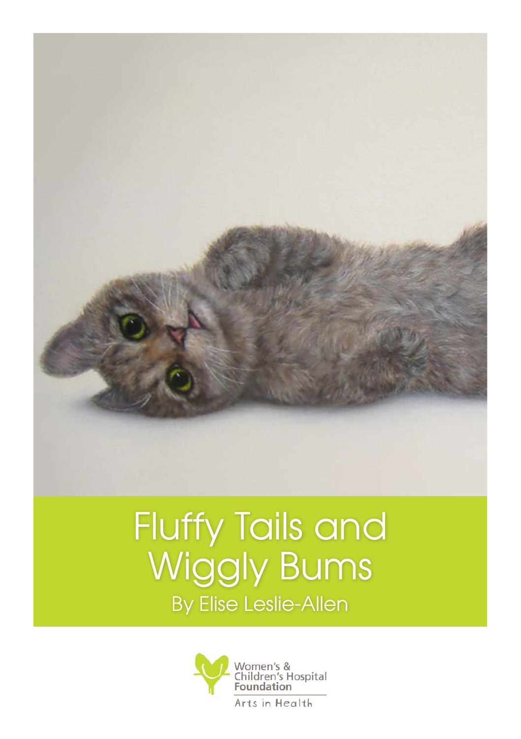

## Fluffy Tails and Wiggly Bums By Elise Leslie-Allen

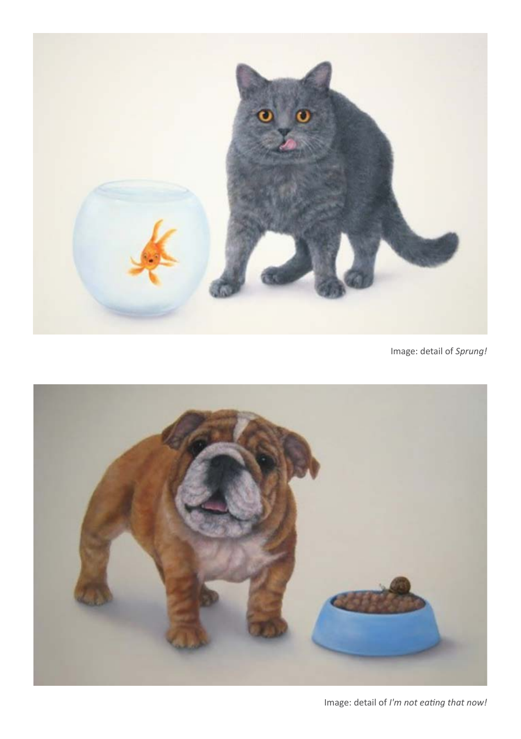

Image: detail of *Sprung!*



Image: detail of *I'm not eating that now!*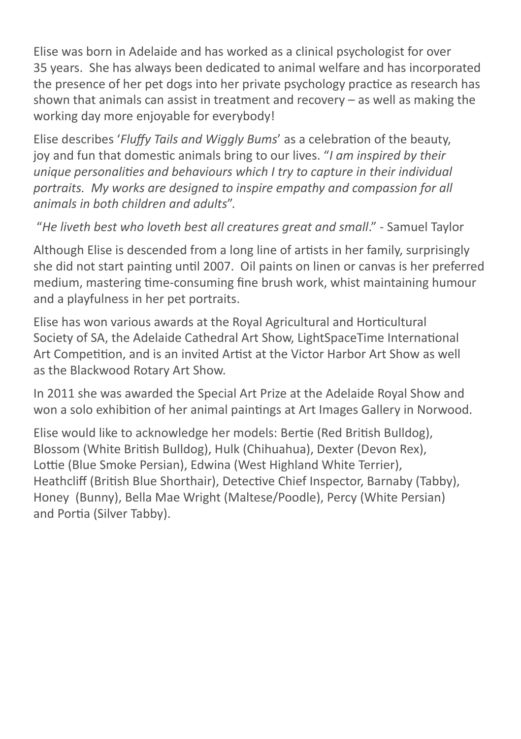Elise was born in Adelaide and has worked as a clinical psychologist for over 35 years. She has always been dedicated to animal welfare and has incorporated the presence of her pet dogs into her private psychology practice as research has shown that animals can assist in treatment and recovery – as well as making the working day more enjoyable for everybody!

Elise describes '*Fluffy Tails and Wiggly Bums*' as a celebration of the beauty, joy and fun that domestic animals bring to our lives. "*I am inspired by their unique personalities and behaviours which I try to capture in their individual portraits. My works are designed to inspire empathy and compassion for all animals in both children and adults*".

"*He liveth best who loveth best all creatures great and small*." - Samuel Taylor

Although Elise is descended from a long line of artists in her family, surprisingly she did not start painting until 2007. Oil paints on linen or canvas is her preferred medium, mastering time-consuming fine brush work, whist maintaining humour and a playfulness in her pet portraits.

Elise has won various awards at the Royal Agricultural and Horticultural Society of SA, the Adelaide Cathedral Art Show, LightSpaceTime International Art Competition, and is an invited Artist at the Victor Harbor Art Show as well as the Blackwood Rotary Art Show.

In 2011 she was awarded the Special Art Prize at the Adelaide Royal Show and won a solo exhibition of her animal paintings at Art Images Gallery in Norwood.

Elise would like to acknowledge her models: Bertie (Red British Bulldog), Blossom (White British Bulldog), Hulk (Chihuahua), Dexter (Devon Rex), Lottie (Blue Smoke Persian), Edwina (West Highland White Terrier), Heathcliff (British Blue Shorthair), Detective Chief Inspector, Barnaby (Tabby), Honey (Bunny), Bella Mae Wright (Maltese/Poodle), Percy (White Persian) and Portia (Silver Tabby).